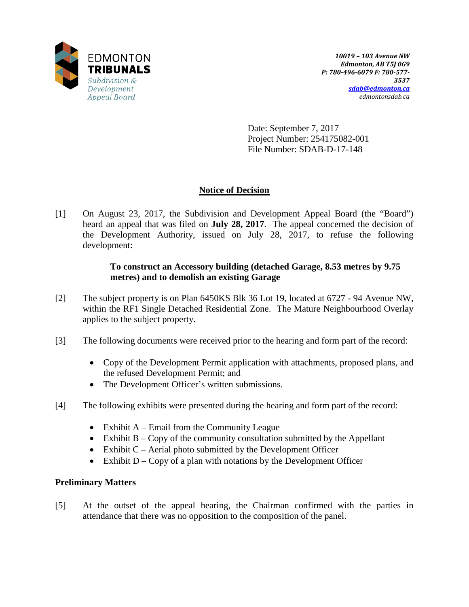

Date: September 7, 2017 Project Number: 254175082-001 File Number: SDAB-D-17-148

# **Notice of Decision**

[1] On August 23, 2017, the Subdivision and Development Appeal Board (the "Board") heard an appeal that was filed on **July 28, 2017**. The appeal concerned the decision of the Development Authority, issued on July 28, 2017, to refuse the following development:

# **To construct an Accessory building (detached Garage, 8.53 metres by 9.75 metres) and to demolish an existing Garage**

- [2] The subject property is on Plan 6450KS Blk 36 Lot 19, located at 6727 94 Avenue NW, within the RF1 Single Detached Residential Zone. The Mature Neighbourhood Overlay applies to the subject property.
- [3] The following documents were received prior to the hearing and form part of the record:
	- Copy of the Development Permit application with attachments, proposed plans, and the refused Development Permit; and
	- The Development Officer's written submissions.
- [4] The following exhibits were presented during the hearing and form part of the record:
	- Exhibit  $A -$  Email from the Community League
	- Exhibit  $B Copy$  of the community consultation submitted by the Appellant
	- Exhibit  $C$  Aerial photo submitted by the Development Officer
	- Exhibit  $D Copy$  of a plan with notations by the Development Officer

# **Preliminary Matters**

[5] At the outset of the appeal hearing, the Chairman confirmed with the parties in attendance that there was no opposition to the composition of the panel.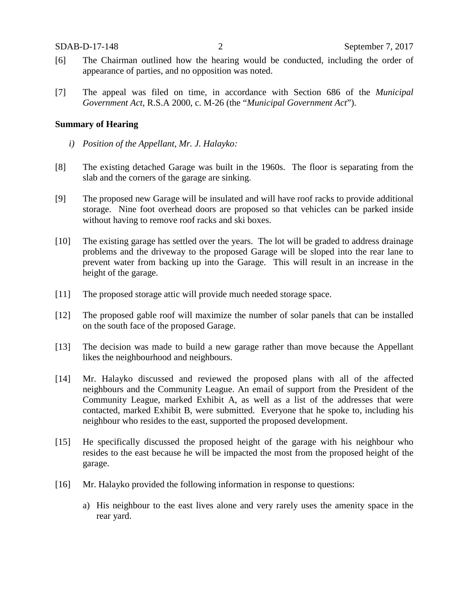- [6] The Chairman outlined how the hearing would be conducted, including the order of appearance of parties, and no opposition was noted.
- [7] The appeal was filed on time, in accordance with Section 686 of the *Municipal Government Act*, R.S.A 2000, c. M-26 (the "*Municipal Government Act*").

## **Summary of Hearing**

- *i) Position of the Appellant, Mr. J. Halayko:*
- [8] The existing detached Garage was built in the 1960s. The floor is separating from the slab and the corners of the garage are sinking.
- [9] The proposed new Garage will be insulated and will have roof racks to provide additional storage. Nine foot overhead doors are proposed so that vehicles can be parked inside without having to remove roof racks and ski boxes.
- [10] The existing garage has settled over the years. The lot will be graded to address drainage problems and the driveway to the proposed Garage will be sloped into the rear lane to prevent water from backing up into the Garage. This will result in an increase in the height of the garage.
- [11] The proposed storage attic will provide much needed storage space.
- [12] The proposed gable roof will maximize the number of solar panels that can be installed on the south face of the proposed Garage.
- [13] The decision was made to build a new garage rather than move because the Appellant likes the neighbourhood and neighbours.
- [14] Mr. Halayko discussed and reviewed the proposed plans with all of the affected neighbours and the Community League. An email of support from the President of the Community League, marked Exhibit A, as well as a list of the addresses that were contacted, marked Exhibit B, were submitted. Everyone that he spoke to, including his neighbour who resides to the east, supported the proposed development.
- [15] He specifically discussed the proposed height of the garage with his neighbour who resides to the east because he will be impacted the most from the proposed height of the garage.
- [16] Mr. Halayko provided the following information in response to questions:
	- a) His neighbour to the east lives alone and very rarely uses the amenity space in the rear yard.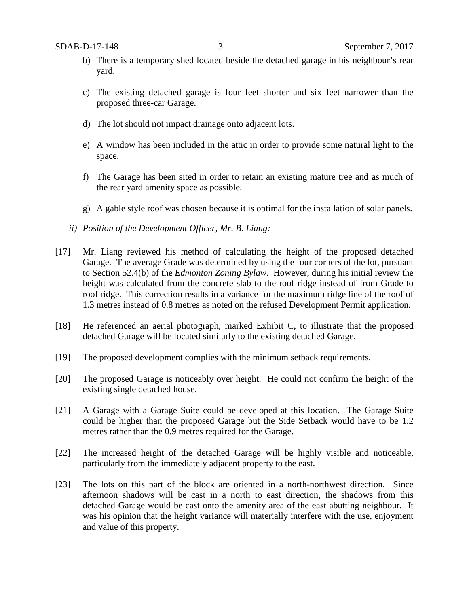- b) There is a temporary shed located beside the detached garage in his neighbour's rear yard.
- c) The existing detached garage is four feet shorter and six feet narrower than the proposed three-car Garage.
- d) The lot should not impact drainage onto adjacent lots.
- e) A window has been included in the attic in order to provide some natural light to the space.
- f) The Garage has been sited in order to retain an existing mature tree and as much of the rear yard amenity space as possible.
- g) A gable style roof was chosen because it is optimal for the installation of solar panels.
- *ii) Position of the Development Officer, Mr. B. Liang:*
- [17] Mr. Liang reviewed his method of calculating the height of the proposed detached Garage. The average Grade was determined by using the four corners of the lot, pursuant to Section 52.4(b) of the *Edmonton Zoning Bylaw*. However, during his initial review the height was calculated from the concrete slab to the roof ridge instead of from Grade to roof ridge. This correction results in a variance for the maximum ridge line of the roof of 1.3 metres instead of 0.8 metres as noted on the refused Development Permit application.
- [18] He referenced an aerial photograph, marked Exhibit C, to illustrate that the proposed detached Garage will be located similarly to the existing detached Garage.
- [19] The proposed development complies with the minimum setback requirements.
- [20] The proposed Garage is noticeably over height. He could not confirm the height of the existing single detached house.
- [21] A Garage with a Garage Suite could be developed at this location. The Garage Suite could be higher than the proposed Garage but the Side Setback would have to be 1.2 metres rather than the 0.9 metres required for the Garage.
- [22] The increased height of the detached Garage will be highly visible and noticeable, particularly from the immediately adjacent property to the east.
- [23] The lots on this part of the block are oriented in a north-northwest direction. Since afternoon shadows will be cast in a north to east direction, the shadows from this detached Garage would be cast onto the amenity area of the east abutting neighbour. It was his opinion that the height variance will materially interfere with the use, enjoyment and value of this property.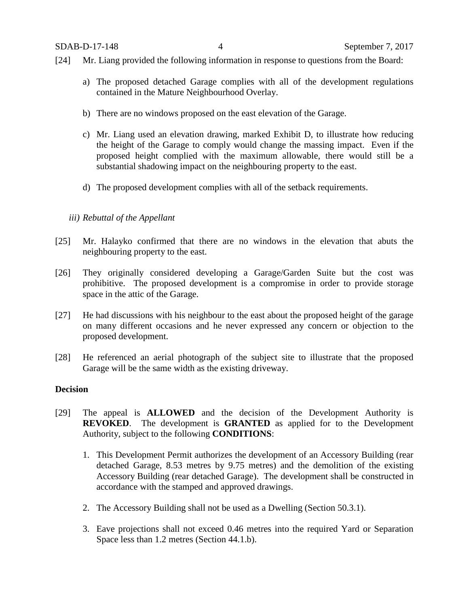- [24] Mr. Liang provided the following information in response to questions from the Board:
	- a) The proposed detached Garage complies with all of the development regulations contained in the Mature Neighbourhood Overlay.
	- b) There are no windows proposed on the east elevation of the Garage.
	- c) Mr. Liang used an elevation drawing, marked Exhibit D, to illustrate how reducing the height of the Garage to comply would change the massing impact. Even if the proposed height complied with the maximum allowable, there would still be a substantial shadowing impact on the neighbouring property to the east.
	- d) The proposed development complies with all of the setback requirements.

# *iii) Rebuttal of the Appellant*

- [25] Mr. Halayko confirmed that there are no windows in the elevation that abuts the neighbouring property to the east.
- [26] They originally considered developing a Garage/Garden Suite but the cost was prohibitive. The proposed development is a compromise in order to provide storage space in the attic of the Garage.
- [27] He had discussions with his neighbour to the east about the proposed height of the garage on many different occasions and he never expressed any concern or objection to the proposed development.
- [28] He referenced an aerial photograph of the subject site to illustrate that the proposed Garage will be the same width as the existing driveway.

# **Decision**

- [29] The appeal is **ALLOWED** and the decision of the Development Authority is **REVOKED**. The development is **GRANTED** as applied for to the Development Authority, subject to the following **CONDITIONS**:
	- 1. This Development Permit authorizes the development of an Accessory Building (rear detached Garage, 8.53 metres by 9.75 metres) and the demolition of the existing Accessory Building (rear detached Garage). The development shall be constructed in accordance with the stamped and approved drawings.
	- 2. The Accessory Building shall not be used as a Dwelling (Section 50.3.1).
	- 3. Eave projections shall not exceed 0.46 metres into the required Yard or Separation Space less than 1.2 metres (Section 44.1.b).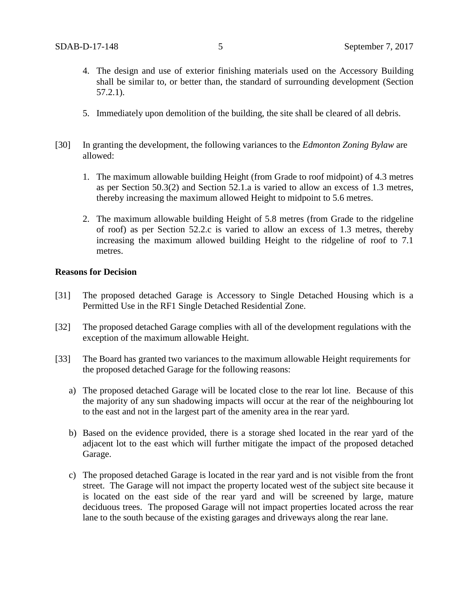- 4. The design and use of exterior finishing materials used on the Accessory Building shall be similar to, or better than, the standard of surrounding development (Section 57.2.1).
- 5. Immediately upon demolition of the building, the site shall be cleared of all debris.
- [30] In granting the development, the following variances to the *Edmonton Zoning Bylaw* are allowed:
	- 1. The maximum allowable building Height (from Grade to roof midpoint) of 4.3 metres as per Section 50.3(2) and Section 52.1.a is varied to allow an excess of 1.3 metres, thereby increasing the maximum allowed Height to midpoint to 5.6 metres.
	- 2. The maximum allowable building Height of 5.8 metres (from Grade to the ridgeline of roof) as per Section 52.2.c is varied to allow an excess of 1.3 metres, thereby increasing the maximum allowed building Height to the ridgeline of roof to 7.1 metres.

## **Reasons for Decision**

- [31] The proposed detached Garage is Accessory to Single Detached Housing which is a Permitted Use in the RF1 Single Detached Residential Zone.
- [32] The proposed detached Garage complies with all of the development regulations with the exception of the maximum allowable Height.
- [33] The Board has granted two variances to the maximum allowable Height requirements for the proposed detached Garage for the following reasons:
	- a) The proposed detached Garage will be located close to the rear lot line. Because of this the majority of any sun shadowing impacts will occur at the rear of the neighbouring lot to the east and not in the largest part of the amenity area in the rear yard.
	- b) Based on the evidence provided, there is a storage shed located in the rear yard of the adjacent lot to the east which will further mitigate the impact of the proposed detached Garage.
	- c) The proposed detached Garage is located in the rear yard and is not visible from the front street. The Garage will not impact the property located west of the subject site because it is located on the east side of the rear yard and will be screened by large, mature deciduous trees. The proposed Garage will not impact properties located across the rear lane to the south because of the existing garages and driveways along the rear lane.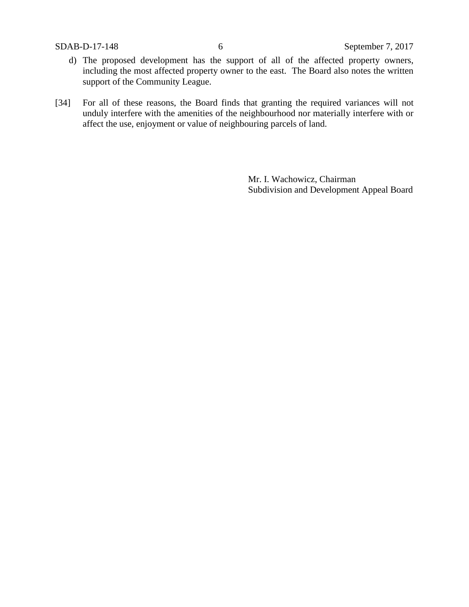- d) The proposed development has the support of all of the affected property owners, including the most affected property owner to the east. The Board also notes the written support of the Community League.
- [34] For all of these reasons, the Board finds that granting the required variances will not unduly interfere with the amenities of the neighbourhood nor materially interfere with or affect the use, enjoyment or value of neighbouring parcels of land.

Mr. I. Wachowicz, Chairman Subdivision and Development Appeal Board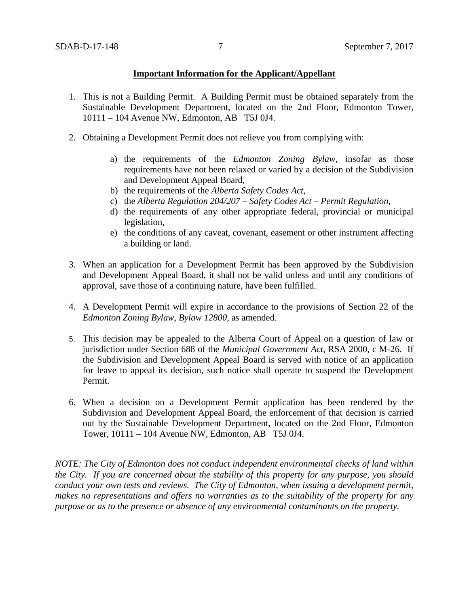## **Important Information for the Applicant/Appellant**

- 1. This is not a Building Permit. A Building Permit must be obtained separately from the Sustainable Development Department, located on the 2nd Floor, Edmonton Tower, 10111 – 104 Avenue NW, Edmonton, AB T5J 0J4.
- 2. Obtaining a Development Permit does not relieve you from complying with:
	- a) the requirements of the *Edmonton Zoning Bylaw*, insofar as those requirements have not been relaxed or varied by a decision of the Subdivision and Development Appeal Board,
	- b) the requirements of the *Alberta Safety Codes Act*,
	- c) the *Alberta Regulation 204/207 – Safety Codes Act – Permit Regulation*,
	- d) the requirements of any other appropriate federal, provincial or municipal legislation,
	- e) the conditions of any caveat, covenant, easement or other instrument affecting a building or land.
- 3. When an application for a Development Permit has been approved by the Subdivision and Development Appeal Board, it shall not be valid unless and until any conditions of approval, save those of a continuing nature, have been fulfilled.
- 4. A Development Permit will expire in accordance to the provisions of Section 22 of the *Edmonton Zoning Bylaw, Bylaw 12800*, as amended.
- 5. This decision may be appealed to the Alberta Court of Appeal on a question of law or jurisdiction under Section 688 of the *Municipal Government Act*, RSA 2000, c M-26. If the Subdivision and Development Appeal Board is served with notice of an application for leave to appeal its decision, such notice shall operate to suspend the Development Permit.
- 6. When a decision on a Development Permit application has been rendered by the Subdivision and Development Appeal Board, the enforcement of that decision is carried out by the Sustainable Development Department, located on the 2nd Floor, Edmonton Tower, 10111 – 104 Avenue NW, Edmonton, AB T5J 0J4.

*NOTE: The City of Edmonton does not conduct independent environmental checks of land within the City. If you are concerned about the stability of this property for any purpose, you should conduct your own tests and reviews. The City of Edmonton, when issuing a development permit, makes no representations and offers no warranties as to the suitability of the property for any purpose or as to the presence or absence of any environmental contaminants on the property.*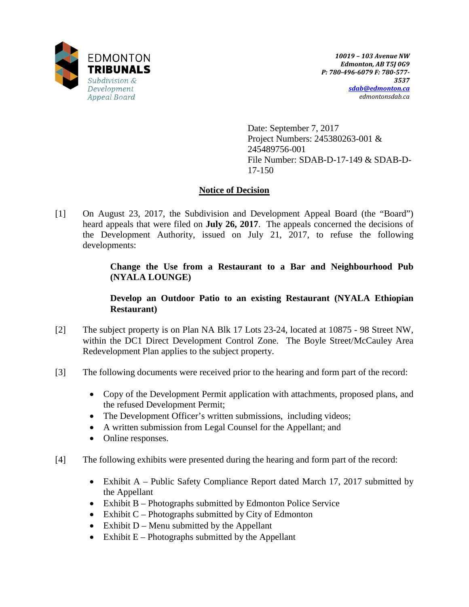

Date: September 7, 2017 Project Numbers: 245380263-001 & 245489756-001 File Number: SDAB-D-17-149 & SDAB-D-17-150

# **Notice of Decision**

[1] On August 23, 2017, the Subdivision and Development Appeal Board (the "Board") heard appeals that were filed on **July 26, 2017**. The appeals concerned the decisions of the Development Authority, issued on July 21, 2017, to refuse the following developments:

> **Change the Use from a Restaurant to a Bar and Neighbourhood Pub (NYALA LOUNGE)**

# **Develop an Outdoor Patio to an existing Restaurant (NYALA Ethiopian Restaurant)**

- [2] The subject property is on Plan NA Blk 17 Lots 23-24, located at 10875 98 Street NW, within the DC1 Direct Development Control Zone. The Boyle Street/McCauley Area Redevelopment Plan applies to the subject property.
- [3] The following documents were received prior to the hearing and form part of the record:
	- Copy of the Development Permit application with attachments, proposed plans, and the refused Development Permit;
	- The Development Officer's written submissions, including videos;
	- A written submission from Legal Counsel for the Appellant; and
	- Online responses.
- [4] The following exhibits were presented during the hearing and form part of the record:
	- Exhibit A Public Safety Compliance Report dated March 17, 2017 submitted by the Appellant
	- Exhibit B Photographs submitted by Edmonton Police Service
	- Exhibit  $C$  Photographs submitted by City of Edmonton
	- Exhibit  $D$  Menu submitted by the Appellant
	- Exhibit  $E -$  Photographs submitted by the Appellant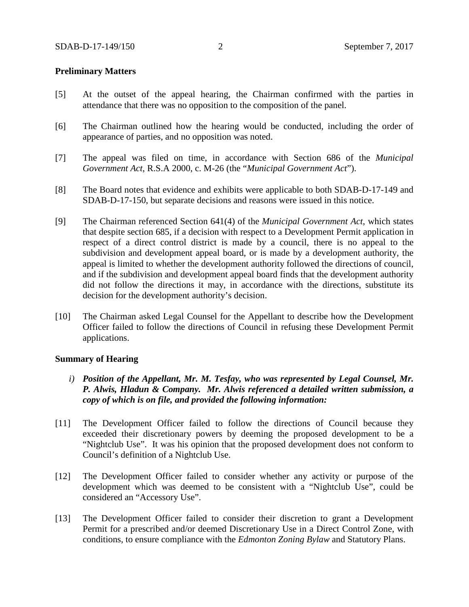## **Preliminary Matters**

- [5] At the outset of the appeal hearing, the Chairman confirmed with the parties in attendance that there was no opposition to the composition of the panel.
- [6] The Chairman outlined how the hearing would be conducted, including the order of appearance of parties, and no opposition was noted.
- [7] The appeal was filed on time, in accordance with Section 686 of the *Municipal Government Act*, R.S.A 2000, c. M-26 (the "*Municipal Government Act*").
- [8] The Board notes that evidence and exhibits were applicable to both SDAB-D-17-149 and SDAB-D-17-150, but separate decisions and reasons were issued in this notice.
- [9] The Chairman referenced Section 641(4) of the *Municipal Government Act*, which states that despite section 685, if a decision with respect to a Development Permit application in respect of a direct control district is made by a council, there is no appeal to the subdivision and development appeal board, or is made by a development authority, the appeal is limited to whether the development authority followed the directions of council, and if the subdivision and development appeal board finds that the development authority did not follow the directions it may, in accordance with the directions, substitute its decision for the development authority's decision.
- [10] The Chairman asked Legal Counsel for the Appellant to describe how the Development Officer failed to follow the directions of Council in refusing these Development Permit applications.

### **Summary of Hearing**

- *i) Position of the Appellant, Mr. M. Tesfay, who was represented by Legal Counsel, Mr. P. Alwis, Hladun & Company. Mr. Alwis referenced a detailed written submission, a copy of which is on file, and provided the following information:*
- [11] The Development Officer failed to follow the directions of Council because they exceeded their discretionary powers by deeming the proposed development to be a "Nightclub Use". It was his opinion that the proposed development does not conform to Council's definition of a Nightclub Use.
- [12] The Development Officer failed to consider whether any activity or purpose of the development which was deemed to be consistent with a "Nightclub Use", could be considered an "Accessory Use".
- [13] The Development Officer failed to consider their discretion to grant a Development Permit for a prescribed and/or deemed Discretionary Use in a Direct Control Zone, with conditions, to ensure compliance with the *Edmonton Zoning Bylaw* and Statutory Plans.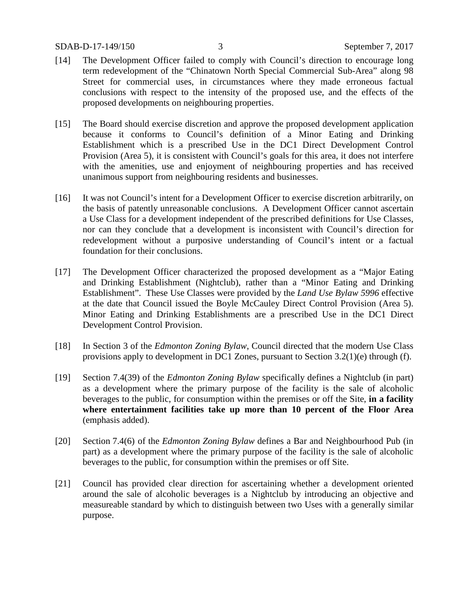- [14] The Development Officer failed to comply with Council's direction to encourage long term redevelopment of the "Chinatown North Special Commercial Sub-Area" along 98 Street for commercial uses, in circumstances where they made erroneous factual conclusions with respect to the intensity of the proposed use, and the effects of the proposed developments on neighbouring properties.
- [15] The Board should exercise discretion and approve the proposed development application because it conforms to Council's definition of a Minor Eating and Drinking Establishment which is a prescribed Use in the DC1 Direct Development Control Provision (Area 5), it is consistent with Council's goals for this area, it does not interfere with the amenities, use and enjoyment of neighbouring properties and has received unanimous support from neighbouring residents and businesses.
- [16] It was not Council's intent for a Development Officer to exercise discretion arbitrarily, on the basis of patently unreasonable conclusions. A Development Officer cannot ascertain a Use Class for a development independent of the prescribed definitions for Use Classes, nor can they conclude that a development is inconsistent with Council's direction for redevelopment without a purposive understanding of Council's intent or a factual foundation for their conclusions.
- [17] The Development Officer characterized the proposed development as a "Major Eating and Drinking Establishment (Nightclub), rather than a "Minor Eating and Drinking Establishment". These Use Classes were provided by the *Land Use Bylaw 5996* effective at the date that Council issued the Boyle McCauley Direct Control Provision (Area 5). Minor Eating and Drinking Establishments are a prescribed Use in the DC1 Direct Development Control Provision.
- [18] In Section 3 of the *Edmonton Zoning Bylaw*, Council directed that the modern Use Class provisions apply to development in DC1 Zones, pursuant to Section 3.2(1)(e) through (f).
- [19] Section 7.4(39) of the *Edmonton Zoning Bylaw* specifically defines a Nightclub (in part) as a development where the primary purpose of the facility is the sale of alcoholic beverages to the public, for consumption within the premises or off the Site, **in a facility where entertainment facilities take up more than 10 percent of the Floor Area**  (emphasis added).
- [20] Section 7.4(6) of the *Edmonton Zoning Bylaw* defines a Bar and Neighbourhood Pub (in part) as a development where the primary purpose of the facility is the sale of alcoholic beverages to the public, for consumption within the premises or off Site.
- [21] Council has provided clear direction for ascertaining whether a development oriented around the sale of alcoholic beverages is a Nightclub by introducing an objective and measureable standard by which to distinguish between two Uses with a generally similar purpose.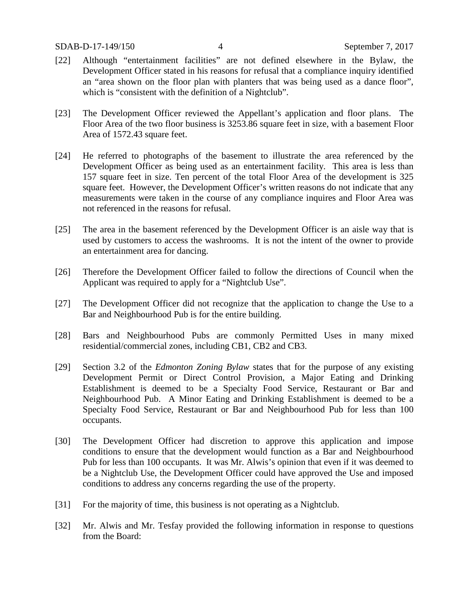- [22] Although "entertainment facilities" are not defined elsewhere in the Bylaw, the Development Officer stated in his reasons for refusal that a compliance inquiry identified an "area shown on the floor plan with planters that was being used as a dance floor", which is "consistent with the definition of a Nightclub".
- [23] The Development Officer reviewed the Appellant's application and floor plans. The Floor Area of the two floor business is 3253.86 square feet in size, with a basement Floor Area of 1572.43 square feet.
- [24] He referred to photographs of the basement to illustrate the area referenced by the Development Officer as being used as an entertainment facility. This area is less than 157 square feet in size. Ten percent of the total Floor Area of the development is 325 square feet. However, the Development Officer's written reasons do not indicate that any measurements were taken in the course of any compliance inquires and Floor Area was not referenced in the reasons for refusal.
- [25] The area in the basement referenced by the Development Officer is an aisle way that is used by customers to access the washrooms. It is not the intent of the owner to provide an entertainment area for dancing.
- [26] Therefore the Development Officer failed to follow the directions of Council when the Applicant was required to apply for a "Nightclub Use".
- [27] The Development Officer did not recognize that the application to change the Use to a Bar and Neighbourhood Pub is for the entire building.
- [28] Bars and Neighbourhood Pubs are commonly Permitted Uses in many mixed residential/commercial zones, including CB1, CB2 and CB3.
- [29] Section 3.2 of the *Edmonton Zoning Bylaw* states that for the purpose of any existing Development Permit or Direct Control Provision, a Major Eating and Drinking Establishment is deemed to be a Specialty Food Service, Restaurant or Bar and Neighbourhood Pub. A Minor Eating and Drinking Establishment is deemed to be a Specialty Food Service, Restaurant or Bar and Neighbourhood Pub for less than 100 occupants.
- [30] The Development Officer had discretion to approve this application and impose conditions to ensure that the development would function as a Bar and Neighbourhood Pub for less than 100 occupants. It was Mr. Alwis's opinion that even if it was deemed to be a Nightclub Use, the Development Officer could have approved the Use and imposed conditions to address any concerns regarding the use of the property.
- [31] For the majority of time, this business is not operating as a Nightclub.
- [32] Mr. Alwis and Mr. Tesfay provided the following information in response to questions from the Board: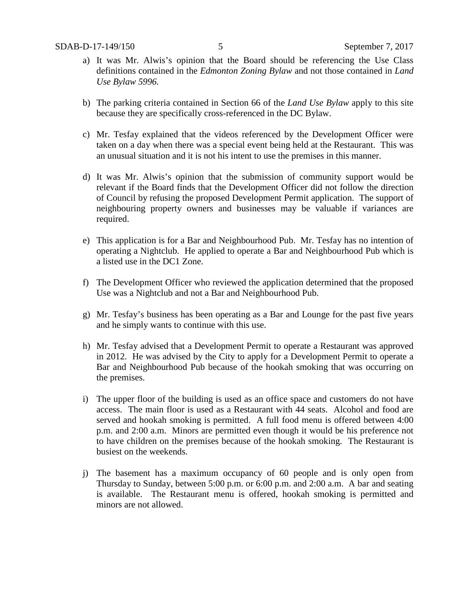- a) It was Mr. Alwis's opinion that the Board should be referencing the Use Class definitions contained in the *Edmonton Zoning Bylaw* and not those contained in *Land Use Bylaw 5996.*
- b) The parking criteria contained in Section 66 of the *Land Use Bylaw* apply to this site because they are specifically cross-referenced in the DC Bylaw.
- c) Mr. Tesfay explained that the videos referenced by the Development Officer were taken on a day when there was a special event being held at the Restaurant. This was an unusual situation and it is not his intent to use the premises in this manner.
- d) It was Mr. Alwis's opinion that the submission of community support would be relevant if the Board finds that the Development Officer did not follow the direction of Council by refusing the proposed Development Permit application. The support of neighbouring property owners and businesses may be valuable if variances are required.
- e) This application is for a Bar and Neighbourhood Pub. Mr. Tesfay has no intention of operating a Nightclub. He applied to operate a Bar and Neighbourhood Pub which is a listed use in the DC1 Zone.
- f) The Development Officer who reviewed the application determined that the proposed Use was a Nightclub and not a Bar and Neighbourhood Pub.
- g) Mr. Tesfay's business has been operating as a Bar and Lounge for the past five years and he simply wants to continue with this use.
- h) Mr. Tesfay advised that a Development Permit to operate a Restaurant was approved in 2012. He was advised by the City to apply for a Development Permit to operate a Bar and Neighbourhood Pub because of the hookah smoking that was occurring on the premises.
- i) The upper floor of the building is used as an office space and customers do not have access. The main floor is used as a Restaurant with 44 seats. Alcohol and food are served and hookah smoking is permitted. A full food menu is offered between 4:00 p.m. and 2:00 a.m. Minors are permitted even though it would be his preference not to have children on the premises because of the hookah smoking. The Restaurant is busiest on the weekends.
- j) The basement has a maximum occupancy of 60 people and is only open from Thursday to Sunday, between 5:00 p.m. or 6:00 p.m. and 2:00 a.m. A bar and seating is available. The Restaurant menu is offered, hookah smoking is permitted and minors are not allowed.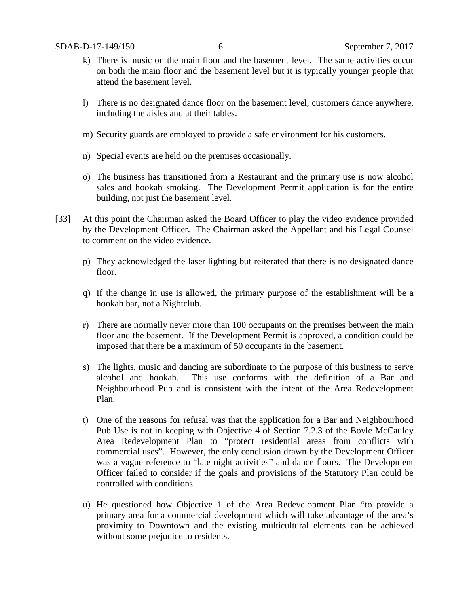- k) There is music on the main floor and the basement level. The same activities occur on both the main floor and the basement level but it is typically younger people that attend the basement level.
- l) There is no designated dance floor on the basement level, customers dance anywhere, including the aisles and at their tables.
- m) Security guards are employed to provide a safe environment for his customers.
- n) Special events are held on the premises occasionally.
- o) The business has transitioned from a Restaurant and the primary use is now alcohol sales and hookah smoking. The Development Permit application is for the entire building, not just the basement level.
- [33] At this point the Chairman asked the Board Officer to play the video evidence provided by the Development Officer. The Chairman asked the Appellant and his Legal Counsel to comment on the video evidence.
	- p) They acknowledged the laser lighting but reiterated that there is no designated dance floor.
	- q) If the change in use is allowed, the primary purpose of the establishment will be a hookah bar, not a Nightclub.
	- r) There are normally never more than 100 occupants on the premises between the main floor and the basement. If the Development Permit is approved, a condition could be imposed that there be a maximum of 50 occupants in the basement.
	- s) The lights, music and dancing are subordinate to the purpose of this business to serve alcohol and hookah. This use conforms with the definition of a Bar and Neighbourhood Pub and is consistent with the intent of the Area Redevelopment Plan.
	- t) One of the reasons for refusal was that the application for a Bar and Neighbourhood Pub Use is not in keeping with Objective 4 of Section 7.2.3 of the Boyle McCauley Area Redevelopment Plan to "protect residential areas from conflicts with commercial uses". However, the only conclusion drawn by the Development Officer was a vague reference to "late night activities" and dance floors. The Development Officer failed to consider if the goals and provisions of the Statutory Plan could be controlled with conditions.
	- u) He questioned how Objective 1 of the Area Redevelopment Plan "to provide a primary area for a commercial development which will take advantage of the area's proximity to Downtown and the existing multicultural elements can be achieved without some prejudice to residents.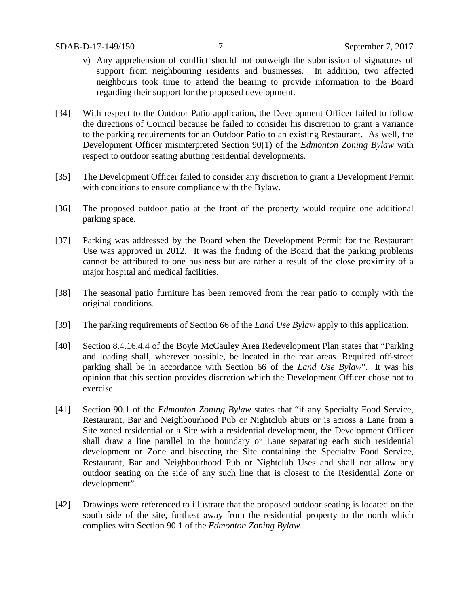- v) Any apprehension of conflict should not outweigh the submission of signatures of support from neighbouring residents and businesses. In addition, two affected neighbours took time to attend the hearing to provide information to the Board regarding their support for the proposed development.
- [34] With respect to the Outdoor Patio application, the Development Officer failed to follow the directions of Council because he failed to consider his discretion to grant a variance to the parking requirements for an Outdoor Patio to an existing Restaurant. As well, the Development Officer misinterpreted Section 90(1) of the *Edmonton Zoning Bylaw* with respect to outdoor seating abutting residential developments.
- [35] The Development Officer failed to consider any discretion to grant a Development Permit with conditions to ensure compliance with the Bylaw.
- [36] The proposed outdoor patio at the front of the property would require one additional parking space.
- [37] Parking was addressed by the Board when the Development Permit for the Restaurant Use was approved in 2012. It was the finding of the Board that the parking problems cannot be attributed to one business but are rather a result of the close proximity of a major hospital and medical facilities.
- [38] The seasonal patio furniture has been removed from the rear patio to comply with the original conditions.
- [39] The parking requirements of Section 66 of the *Land Use Bylaw* apply to this application.
- [40] Section 8.4.16.4.4 of the Boyle McCauley Area Redevelopment Plan states that "Parking and loading shall, wherever possible, be located in the rear areas. Required off-street parking shall be in accordance with Section 66 of the *Land Use Bylaw*". It was his opinion that this section provides discretion which the Development Officer chose not to exercise.
- [41] Section 90.1 of the *Edmonton Zoning Bylaw* states that "if any Specialty Food Service, Restaurant, Bar and Neighbourhood Pub or Nightclub abuts or is across a Lane from a Site zoned residential or a Site with a residential development, the Development Officer shall draw a line parallel to the boundary or Lane separating each such residential development or Zone and bisecting the Site containing the Specialty Food Service, Restaurant, Bar and Neighbourhood Pub or Nightclub Uses and shall not allow any outdoor seating on the side of any such line that is closest to the Residential Zone or development".
- [42] Drawings were referenced to illustrate that the proposed outdoor seating is located on the south side of the site, furthest away from the residential property to the north which complies with Section 90.1 of the *Edmonton Zoning Bylaw*.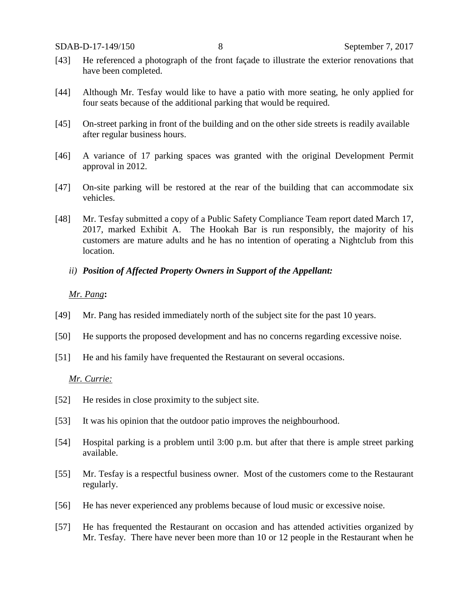- [43] He referenced a photograph of the front façade to illustrate the exterior renovations that have been completed.
- [44] Although Mr. Tesfay would like to have a patio with more seating, he only applied for four seats because of the additional parking that would be required.
- [45] On-street parking in front of the building and on the other side streets is readily available after regular business hours.
- [46] A variance of 17 parking spaces was granted with the original Development Permit approval in 2012.
- [47] On-site parking will be restored at the rear of the building that can accommodate six vehicles.
- [48] Mr. Tesfay submitted a copy of a Public Safety Compliance Team report dated March 17, 2017, marked Exhibit A. The Hookah Bar is run responsibly, the majority of his customers are mature adults and he has no intention of operating a Nightclub from this location.
	- *ii) Position of Affected Property Owners in Support of the Appellant:*

#### *Mr. Pang***:**

- [49] Mr. Pang has resided immediately north of the subject site for the past 10 years.
- [50] He supports the proposed development and has no concerns regarding excessive noise.
- [51] He and his family have frequented the Restaurant on several occasions.

## *Mr. Currie:*

- [52] He resides in close proximity to the subject site.
- [53] It was his opinion that the outdoor patio improves the neighbourhood.
- [54] Hospital parking is a problem until 3:00 p.m. but after that there is ample street parking available.
- [55] Mr. Tesfay is a respectful business owner. Most of the customers come to the Restaurant regularly.
- [56] He has never experienced any problems because of loud music or excessive noise.
- [57] He has frequented the Restaurant on occasion and has attended activities organized by Mr. Tesfay. There have never been more than 10 or 12 people in the Restaurant when he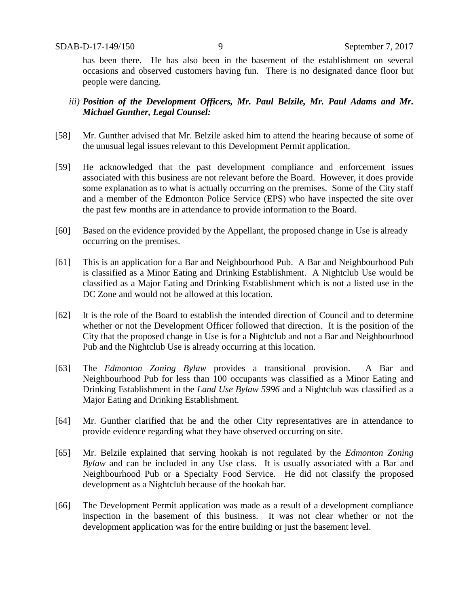has been there. He has also been in the basement of the establishment on several occasions and observed customers having fun. There is no designated dance floor but people were dancing.

# *iii) Position of the Development Officers, Mr. Paul Belzile, Mr. Paul Adams and Mr. Michael Gunther, Legal Counsel:*

- [58] Mr. Gunther advised that Mr. Belzile asked him to attend the hearing because of some of the unusual legal issues relevant to this Development Permit application.
- [59] He acknowledged that the past development compliance and enforcement issues associated with this business are not relevant before the Board. However, it does provide some explanation as to what is actually occurring on the premises. Some of the City staff and a member of the Edmonton Police Service (EPS) who have inspected the site over the past few months are in attendance to provide information to the Board.
- [60] Based on the evidence provided by the Appellant, the proposed change in Use is already occurring on the premises.
- [61] This is an application for a Bar and Neighbourhood Pub. A Bar and Neighbourhood Pub is classified as a Minor Eating and Drinking Establishment. A Nightclub Use would be classified as a Major Eating and Drinking Establishment which is not a listed use in the DC Zone and would not be allowed at this location.
- [62] It is the role of the Board to establish the intended direction of Council and to determine whether or not the Development Officer followed that direction. It is the position of the City that the proposed change in Use is for a Nightclub and not a Bar and Neighbourhood Pub and the Nightclub Use is already occurring at this location.
- [63] The *Edmonton Zoning Bylaw* provides a transitional provision. A Bar and Neighbourhood Pub for less than 100 occupants was classified as a Minor Eating and Drinking Establishment in the *Land Use Bylaw 5996* and a Nightclub was classified as a Major Eating and Drinking Establishment.
- [64] Mr. Gunther clarified that he and the other City representatives are in attendance to provide evidence regarding what they have observed occurring on site.
- [65] Mr. Belzile explained that serving hookah is not regulated by the *Edmonton Zoning Bylaw* and can be included in any Use class. It is usually associated with a Bar and Neighbourhood Pub or a Specialty Food Service. He did not classify the proposed development as a Nightclub because of the hookah bar.
- [66] The Development Permit application was made as a result of a development compliance inspection in the basement of this business. It was not clear whether or not the development application was for the entire building or just the basement level.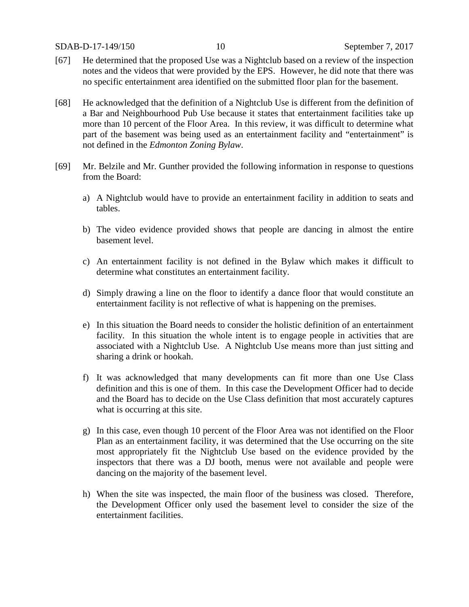SDAB-D-17-149/150 10 September 7, 2017

- [67] He determined that the proposed Use was a Nightclub based on a review of the inspection notes and the videos that were provided by the EPS. However, he did note that there was no specific entertainment area identified on the submitted floor plan for the basement.
- [68] He acknowledged that the definition of a Nightclub Use is different from the definition of a Bar and Neighbourhood Pub Use because it states that entertainment facilities take up more than 10 percent of the Floor Area. In this review, it was difficult to determine what part of the basement was being used as an entertainment facility and "entertainment" is not defined in the *Edmonton Zoning Bylaw*.
- [69] Mr. Belzile and Mr. Gunther provided the following information in response to questions from the Board:
	- a) A Nightclub would have to provide an entertainment facility in addition to seats and tables.
	- b) The video evidence provided shows that people are dancing in almost the entire basement level.
	- c) An entertainment facility is not defined in the Bylaw which makes it difficult to determine what constitutes an entertainment facility.
	- d) Simply drawing a line on the floor to identify a dance floor that would constitute an entertainment facility is not reflective of what is happening on the premises.
	- e) In this situation the Board needs to consider the holistic definition of an entertainment facility. In this situation the whole intent is to engage people in activities that are associated with a Nightclub Use. A Nightclub Use means more than just sitting and sharing a drink or hookah.
	- f) It was acknowledged that many developments can fit more than one Use Class definition and this is one of them. In this case the Development Officer had to decide and the Board has to decide on the Use Class definition that most accurately captures what is occurring at this site.
	- g) In this case, even though 10 percent of the Floor Area was not identified on the Floor Plan as an entertainment facility, it was determined that the Use occurring on the site most appropriately fit the Nightclub Use based on the evidence provided by the inspectors that there was a DJ booth, menus were not available and people were dancing on the majority of the basement level.
	- h) When the site was inspected, the main floor of the business was closed. Therefore, the Development Officer only used the basement level to consider the size of the entertainment facilities.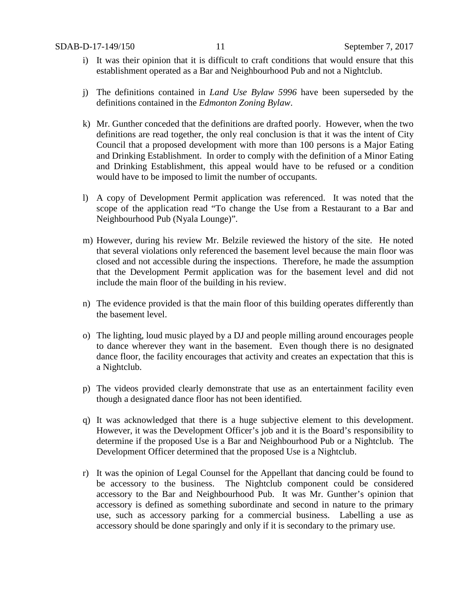- i) It was their opinion that it is difficult to craft conditions that would ensure that this establishment operated as a Bar and Neighbourhood Pub and not a Nightclub.
- j) The definitions contained in *Land Use Bylaw 5996* have been superseded by the definitions contained in the *Edmonton Zoning Bylaw*.
- k) Mr. Gunther conceded that the definitions are drafted poorly. However, when the two definitions are read together, the only real conclusion is that it was the intent of City Council that a proposed development with more than 100 persons is a Major Eating and Drinking Establishment. In order to comply with the definition of a Minor Eating and Drinking Establishment, this appeal would have to be refused or a condition would have to be imposed to limit the number of occupants.
- l) A copy of Development Permit application was referenced. It was noted that the scope of the application read "To change the Use from a Restaurant to a Bar and Neighbourhood Pub (Nyala Lounge)".
- m) However, during his review Mr. Belzile reviewed the history of the site. He noted that several violations only referenced the basement level because the main floor was closed and not accessible during the inspections. Therefore, he made the assumption that the Development Permit application was for the basement level and did not include the main floor of the building in his review.
- n) The evidence provided is that the main floor of this building operates differently than the basement level.
- o) The lighting, loud music played by a DJ and people milling around encourages people to dance wherever they want in the basement. Even though there is no designated dance floor, the facility encourages that activity and creates an expectation that this is a Nightclub.
- p) The videos provided clearly demonstrate that use as an entertainment facility even though a designated dance floor has not been identified.
- q) It was acknowledged that there is a huge subjective element to this development. However, it was the Development Officer's job and it is the Board's responsibility to determine if the proposed Use is a Bar and Neighbourhood Pub or a Nightclub. The Development Officer determined that the proposed Use is a Nightclub.
- r) It was the opinion of Legal Counsel for the Appellant that dancing could be found to be accessory to the business. The Nightclub component could be considered accessory to the Bar and Neighbourhood Pub. It was Mr. Gunther's opinion that accessory is defined as something subordinate and second in nature to the primary use, such as accessory parking for a commercial business. Labelling a use as accessory should be done sparingly and only if it is secondary to the primary use.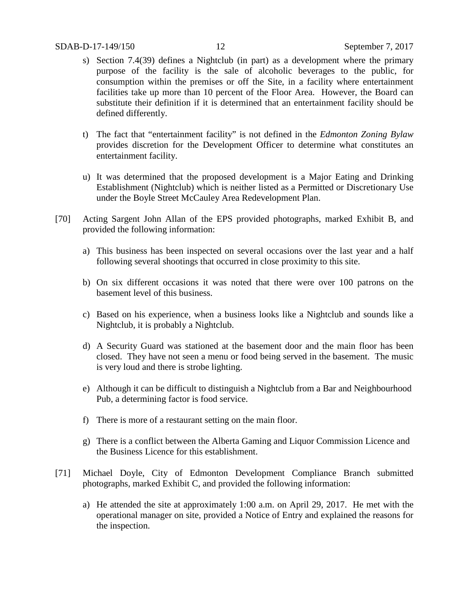- s) Section 7.4(39) defines a Nightclub (in part) as a development where the primary purpose of the facility is the sale of alcoholic beverages to the public, for consumption within the premises or off the Site, in a facility where entertainment facilities take up more than 10 percent of the Floor Area. However, the Board can substitute their definition if it is determined that an entertainment facility should be defined differently.
- t) The fact that "entertainment facility" is not defined in the *Edmonton Zoning Bylaw* provides discretion for the Development Officer to determine what constitutes an entertainment facility.
- u) It was determined that the proposed development is a Major Eating and Drinking Establishment (Nightclub) which is neither listed as a Permitted or Discretionary Use under the Boyle Street McCauley Area Redevelopment Plan.
- [70] Acting Sargent John Allan of the EPS provided photographs, marked Exhibit B, and provided the following information:
	- a) This business has been inspected on several occasions over the last year and a half following several shootings that occurred in close proximity to this site.
	- b) On six different occasions it was noted that there were over 100 patrons on the basement level of this business.
	- c) Based on his experience, when a business looks like a Nightclub and sounds like a Nightclub, it is probably a Nightclub.
	- d) A Security Guard was stationed at the basement door and the main floor has been closed. They have not seen a menu or food being served in the basement. The music is very loud and there is strobe lighting.
	- e) Although it can be difficult to distinguish a Nightclub from a Bar and Neighbourhood Pub, a determining factor is food service.
	- f) There is more of a restaurant setting on the main floor.
	- g) There is a conflict between the Alberta Gaming and Liquor Commission Licence and the Business Licence for this establishment.
- [71] Michael Doyle, City of Edmonton Development Compliance Branch submitted photographs, marked Exhibit C, and provided the following information:
	- a) He attended the site at approximately 1:00 a.m. on April 29, 2017. He met with the operational manager on site, provided a Notice of Entry and explained the reasons for the inspection.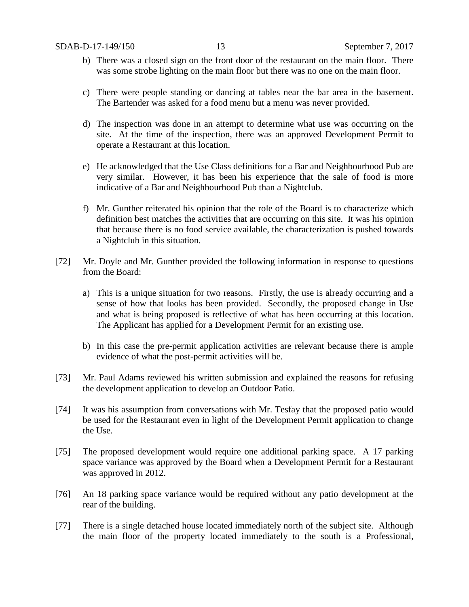- b) There was a closed sign on the front door of the restaurant on the main floor. There was some strobe lighting on the main floor but there was no one on the main floor.
- c) There were people standing or dancing at tables near the bar area in the basement. The Bartender was asked for a food menu but a menu was never provided.
- d) The inspection was done in an attempt to determine what use was occurring on the site. At the time of the inspection, there was an approved Development Permit to operate a Restaurant at this location.
- e) He acknowledged that the Use Class definitions for a Bar and Neighbourhood Pub are very similar. However, it has been his experience that the sale of food is more indicative of a Bar and Neighbourhood Pub than a Nightclub.
- f) Mr. Gunther reiterated his opinion that the role of the Board is to characterize which definition best matches the activities that are occurring on this site. It was his opinion that because there is no food service available, the characterization is pushed towards a Nightclub in this situation.
- [72] Mr. Doyle and Mr. Gunther provided the following information in response to questions from the Board:
	- a) This is a unique situation for two reasons. Firstly, the use is already occurring and a sense of how that looks has been provided. Secondly, the proposed change in Use and what is being proposed is reflective of what has been occurring at this location. The Applicant has applied for a Development Permit for an existing use.
	- b) In this case the pre-permit application activities are relevant because there is ample evidence of what the post-permit activities will be.
- [73] Mr. Paul Adams reviewed his written submission and explained the reasons for refusing the development application to develop an Outdoor Patio.
- [74] It was his assumption from conversations with Mr. Tesfay that the proposed patio would be used for the Restaurant even in light of the Development Permit application to change the Use.
- [75] The proposed development would require one additional parking space. A 17 parking space variance was approved by the Board when a Development Permit for a Restaurant was approved in 2012.
- [76] An 18 parking space variance would be required without any patio development at the rear of the building.
- [77] There is a single detached house located immediately north of the subject site. Although the main floor of the property located immediately to the south is a Professional,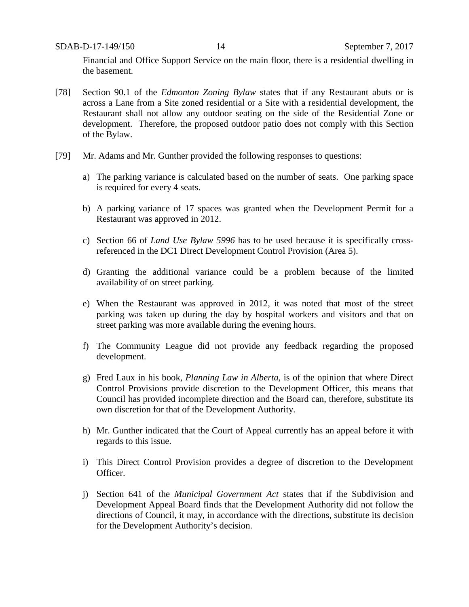Financial and Office Support Service on the main floor, there is a residential dwelling in the basement.

- [78] Section 90.1 of the *Edmonton Zoning Bylaw* states that if any Restaurant abuts or is across a Lane from a Site zoned residential or a Site with a residential development, the Restaurant shall not allow any outdoor seating on the side of the Residential Zone or development. Therefore, the proposed outdoor patio does not comply with this Section of the Bylaw.
- [79] Mr. Adams and Mr. Gunther provided the following responses to questions:
	- a) The parking variance is calculated based on the number of seats. One parking space is required for every 4 seats.
	- b) A parking variance of 17 spaces was granted when the Development Permit for a Restaurant was approved in 2012.
	- c) Section 66 of *Land Use Bylaw 5996* has to be used because it is specifically crossreferenced in the DC1 Direct Development Control Provision (Area 5).
	- d) Granting the additional variance could be a problem because of the limited availability of on street parking.
	- e) When the Restaurant was approved in 2012, it was noted that most of the street parking was taken up during the day by hospital workers and visitors and that on street parking was more available during the evening hours.
	- f) The Community League did not provide any feedback regarding the proposed development.
	- g) Fred Laux in his book, *Planning Law in Alberta*, is of the opinion that where Direct Control Provisions provide discretion to the Development Officer, this means that Council has provided incomplete direction and the Board can, therefore, substitute its own discretion for that of the Development Authority.
	- h) Mr. Gunther indicated that the Court of Appeal currently has an appeal before it with regards to this issue.
	- i) This Direct Control Provision provides a degree of discretion to the Development Officer.
	- j) Section 641 of the *Municipal Government Act* states that if the Subdivision and Development Appeal Board finds that the Development Authority did not follow the directions of Council, it may, in accordance with the directions, substitute its decision for the Development Authority's decision.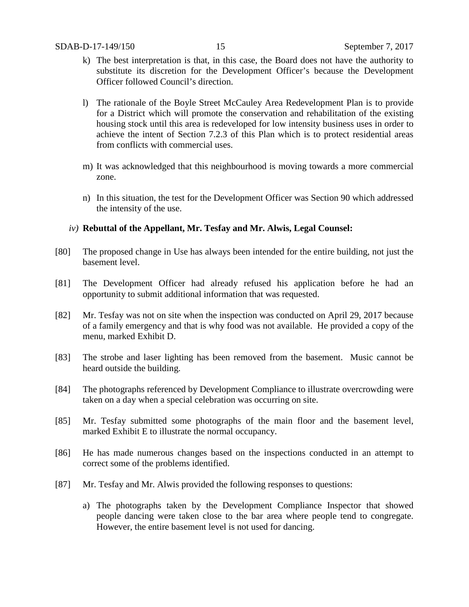- k) The best interpretation is that, in this case, the Board does not have the authority to substitute its discretion for the Development Officer's because the Development Officer followed Council's direction.
- l) The rationale of the Boyle Street McCauley Area Redevelopment Plan is to provide for a District which will promote the conservation and rehabilitation of the existing housing stock until this area is redeveloped for low intensity business uses in order to achieve the intent of Section 7.2.3 of this Plan which is to protect residential areas from conflicts with commercial uses.
- m) It was acknowledged that this neighbourhood is moving towards a more commercial zone.
- n) In this situation, the test for the Development Officer was Section 90 which addressed the intensity of the use.

# *iv)* **Rebuttal of the Appellant, Mr. Tesfay and Mr. Alwis, Legal Counsel:**

- [80] The proposed change in Use has always been intended for the entire building, not just the basement level.
- [81] The Development Officer had already refused his application before he had an opportunity to submit additional information that was requested.
- [82] Mr. Tesfay was not on site when the inspection was conducted on April 29, 2017 because of a family emergency and that is why food was not available. He provided a copy of the menu, marked Exhibit D.
- [83] The strobe and laser lighting has been removed from the basement. Music cannot be heard outside the building.
- [84] The photographs referenced by Development Compliance to illustrate overcrowding were taken on a day when a special celebration was occurring on site.
- [85] Mr. Tesfay submitted some photographs of the main floor and the basement level, marked Exhibit E to illustrate the normal occupancy.
- [86] He has made numerous changes based on the inspections conducted in an attempt to correct some of the problems identified.
- [87] Mr. Tesfay and Mr. Alwis provided the following responses to questions:
	- a) The photographs taken by the Development Compliance Inspector that showed people dancing were taken close to the bar area where people tend to congregate. However, the entire basement level is not used for dancing.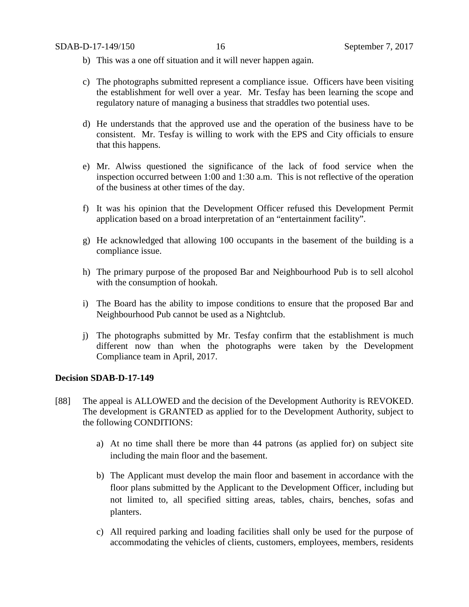- b) This was a one off situation and it will never happen again.
- c) The photographs submitted represent a compliance issue. Officers have been visiting the establishment for well over a year. Mr. Tesfay has been learning the scope and regulatory nature of managing a business that straddles two potential uses.
- d) He understands that the approved use and the operation of the business have to be consistent. Mr. Tesfay is willing to work with the EPS and City officials to ensure that this happens.
- e) Mr. Alwiss questioned the significance of the lack of food service when the inspection occurred between 1:00 and 1:30 a.m. This is not reflective of the operation of the business at other times of the day.
- f) It was his opinion that the Development Officer refused this Development Permit application based on a broad interpretation of an "entertainment facility".
- g) He acknowledged that allowing 100 occupants in the basement of the building is a compliance issue.
- h) The primary purpose of the proposed Bar and Neighbourhood Pub is to sell alcohol with the consumption of hookah.
- i) The Board has the ability to impose conditions to ensure that the proposed Bar and Neighbourhood Pub cannot be used as a Nightclub.
- j) The photographs submitted by Mr. Tesfay confirm that the establishment is much different now than when the photographs were taken by the Development Compliance team in April, 2017.

### **Decision SDAB-D-17-149**

- [88] The appeal is ALLOWED and the decision of the Development Authority is REVOKED. The development is GRANTED as applied for to the Development Authority, subject to the following CONDITIONS:
	- a) At no time shall there be more than 44 patrons (as applied for) on subject site including the main floor and the basement.
	- b) The Applicant must develop the main floor and basement in accordance with the floor plans submitted by the Applicant to the Development Officer, including but not limited to, all specified sitting areas, tables, chairs, benches, sofas and planters.
	- c) All required parking and loading facilities shall only be used for the purpose of accommodating the vehicles of clients, customers, employees, members, residents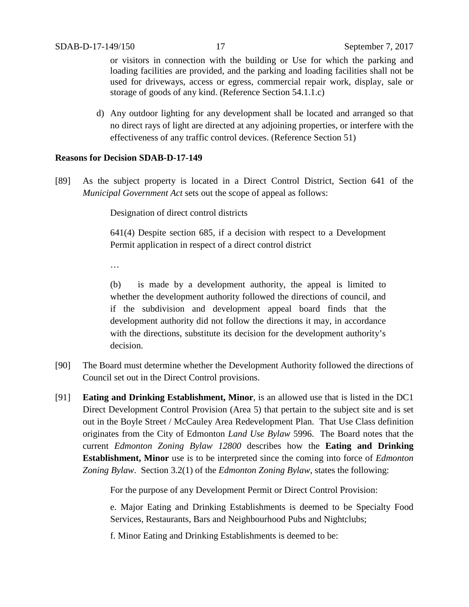or visitors in connection with the building or Use for which the parking and loading facilities are provided, and the parking and loading facilities shall not be used for driveways, access or egress, commercial repair work, display, sale or storage of goods of any kind. (Reference Section 54.1.1.c)

d) Any outdoor lighting for any development shall be located and arranged so that no direct rays of light are directed at any adjoining properties, or interfere with the effectiveness of any traffic control devices. (Reference Section 51)

# **Reasons for Decision SDAB-D-17-149**

[89] As the subject property is located in a Direct Control District, Section 641 of the *Municipal Government Act* sets out the scope of appeal as follows:

Designation of direct control districts

641(4) Despite section 685, if a decision with respect to a Development Permit application in respect of a direct control district

…

(b) is made by a development authority, the appeal is limited to whether the development authority followed the directions of council, and if the subdivision and development appeal board finds that the development authority did not follow the directions it may, in accordance with the directions, substitute its decision for the development authority's decision.

- [90] The Board must determine whether the Development Authority followed the directions of Council set out in the Direct Control provisions.
- [91] **Eating and Drinking Establishment, Minor**, is an allowed use that is listed in the DC1 Direct Development Control Provision (Area 5) that pertain to the subject site and is set out in the Boyle Street / McCauley Area Redevelopment Plan. That Use Class definition originates from the City of Edmonton *Land Use Bylaw* 5996. The Board notes that the current *Edmonton Zoning Bylaw 12800* describes how the **Eating and Drinking Establishment, Minor** use is to be interpreted since the coming into force of *Edmonton Zoning Bylaw*. Section 3.2(1) of the *Edmonton Zoning Bylaw*, states the following:

For the purpose of any Development Permit or Direct Control Provision:

e. Major Eating and Drinking Establishments is deemed to be Specialty Food Services, Restaurants, Bars and Neighbourhood Pubs and Nightclubs;

f. Minor Eating and Drinking Establishments is deemed to be: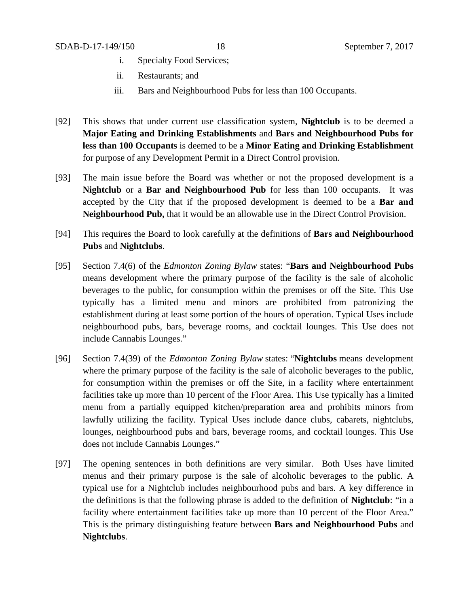- i. Specialty Food Services;
- ii. Restaurants; and
- iii. Bars and Neighbourhood Pubs for less than 100 Occupants.
- [92] This shows that under current use classification system, **Nightclub** is to be deemed a **Major Eating and Drinking Establishments** and **Bars and Neighbourhood Pubs for less than 100 Occupants** is deemed to be a **Minor Eating and Drinking Establishment**  for purpose of any Development Permit in a Direct Control provision.
- [93] The main issue before the Board was whether or not the proposed development is a **Nightclub** or a **Bar and Neighbourhood Pub** for less than 100 occupants. It was accepted by the City that if the proposed development is deemed to be a **Bar and Neighbourhood Pub,** that it would be an allowable use in the Direct Control Provision.
- [94] This requires the Board to look carefully at the definitions of **Bars and Neighbourhood Pubs** and **Nightclubs**.
- [95] Section 7.4(6) of the *Edmonton Zoning Bylaw* states: "**Bars and Neighbourhood Pubs** means development where the primary purpose of the facility is the sale of alcoholic beverages to the public, for consumption within the premises or off the Site. This Use typically has a limited menu and minors are prohibited from patronizing the establishment during at least some portion of the hours of operation. Typical Uses include neighbourhood pubs, bars, beverage rooms, and cocktail lounges. This Use does not include Cannabis Lounges."
- [96] Section 7.4(39) of the *Edmonton Zoning Bylaw* states: "**Nightclubs** means development where the primary purpose of the facility is the sale of alcoholic beverages to the public, for consumption within the premises or off the Site, in a facility where entertainment facilities take up more than 10 percent of the Floor Area. This Use typically has a limited menu from a partially equipped kitchen/preparation area and prohibits minors from lawfully utilizing the facility. Typical Uses include dance clubs, cabarets, nightclubs, lounges, neighbourhood pubs and bars, beverage rooms, and cocktail lounges. This Use does not include Cannabis Lounges."
- [97] The opening sentences in both definitions are very similar. Both Uses have limited menus and their primary purpose is the sale of alcoholic beverages to the public. A typical use for a Nightclub includes neighbourhood pubs and bars. A key difference in the definitions is that the following phrase is added to the definition of **Nightclub**: "in a facility where entertainment facilities take up more than 10 percent of the Floor Area." This is the primary distinguishing feature between **Bars and Neighbourhood Pubs** and **Nightclubs**.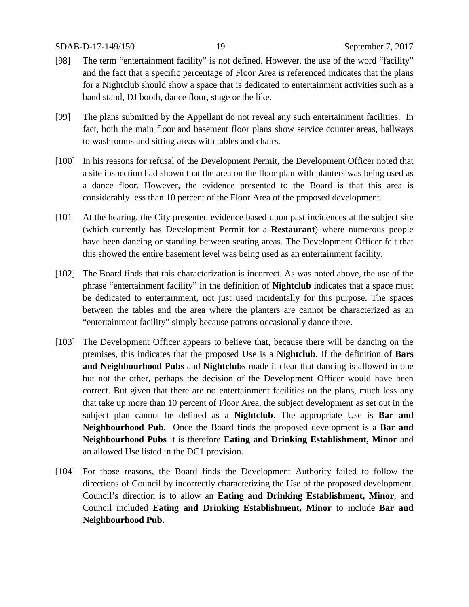- [98] The term "entertainment facility" is not defined. However, the use of the word "facility" and the fact that a specific percentage of Floor Area is referenced indicates that the plans for a Nightclub should show a space that is dedicated to entertainment activities such as a band stand, DJ booth, dance floor, stage or the like.
- [99] The plans submitted by the Appellant do not reveal any such entertainment facilities. In fact, both the main floor and basement floor plans show service counter areas, hallways to washrooms and sitting areas with tables and chairs.
- [100] In his reasons for refusal of the Development Permit, the Development Officer noted that a site inspection had shown that the area on the floor plan with planters was being used as a dance floor. However, the evidence presented to the Board is that this area is considerably less than 10 percent of the Floor Area of the proposed development.
- [101] At the hearing, the City presented evidence based upon past incidences at the subject site (which currently has Development Permit for a **Restaurant**) where numerous people have been dancing or standing between seating areas. The Development Officer felt that this showed the entire basement level was being used as an entertainment facility.
- [102] The Board finds that this characterization is incorrect. As was noted above, the use of the phrase "entertainment facility" in the definition of **Nightclub** indicates that a space must be dedicated to entertainment, not just used incidentally for this purpose. The spaces between the tables and the area where the planters are cannot be characterized as an "entertainment facility" simply because patrons occasionally dance there.
- [103] The Development Officer appears to believe that, because there will be dancing on the premises, this indicates that the proposed Use is a **Nightclub**. If the definition of **Bars and Neighbourhood Pubs** and **Nightclubs** made it clear that dancing is allowed in one but not the other, perhaps the decision of the Development Officer would have been correct. But given that there are no entertainment facilities on the plans, much less any that take up more than 10 percent of Floor Area, the subject development as set out in the subject plan cannot be defined as a **Nightclub**. The appropriate Use is **Bar and Neighbourhood Pub**. Once the Board finds the proposed development is a **Bar and Neighbourhood Pubs** it is therefore **Eating and Drinking Establishment, Minor** and an allowed Use listed in the DC1 provision.
- [104] For those reasons, the Board finds the Development Authority failed to follow the directions of Council by incorrectly characterizing the Use of the proposed development. Council's direction is to allow an **Eating and Drinking Establishment, Minor**, and Council included **Eating and Drinking Establishment, Minor** to include **Bar and Neighbourhood Pub.**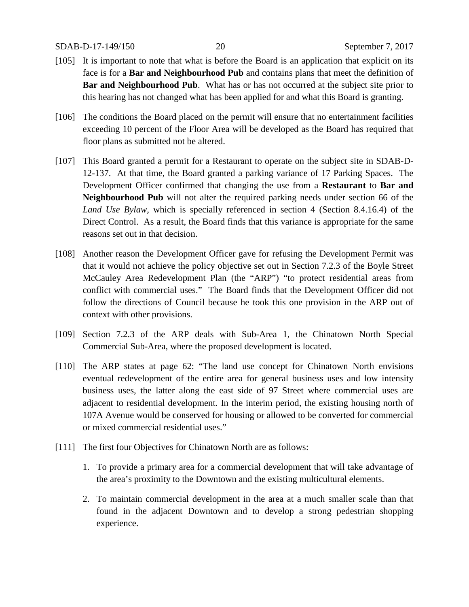## SDAB-D-17-149/150 20 September 7, 2017

- [105] It is important to note that what is before the Board is an application that explicit on its face is for a **Bar and Neighbourhood Pub** and contains plans that meet the definition of **Bar and Neighbourhood Pub**. What has or has not occurred at the subject site prior to this hearing has not changed what has been applied for and what this Board is granting.
- [106] The conditions the Board placed on the permit will ensure that no entertainment facilities exceeding 10 percent of the Floor Area will be developed as the Board has required that floor plans as submitted not be altered.
- [107] This Board granted a permit for a Restaurant to operate on the subject site in SDAB-D-12-137. At that time, the Board granted a parking variance of 17 Parking Spaces. The Development Officer confirmed that changing the use from a **Restaurant** to **Bar and Neighbourhood Pub** will not alter the required parking needs under section 66 of the *Land Use Bylaw,* which is specially referenced in section 4 (Section 8.4.16.4) of the Direct Control. As a result, the Board finds that this variance is appropriate for the same reasons set out in that decision.
- [108] Another reason the Development Officer gave for refusing the Development Permit was that it would not achieve the policy objective set out in Section 7.2.3 of the Boyle Street McCauley Area Redevelopment Plan (the "ARP") "to protect residential areas from conflict with commercial uses." The Board finds that the Development Officer did not follow the directions of Council because he took this one provision in the ARP out of context with other provisions.
- [109] Section 7.2.3 of the ARP deals with Sub-Area 1, the Chinatown North Special Commercial Sub-Area, where the proposed development is located.
- [110] The ARP states at page 62: "The land use concept for Chinatown North envisions eventual redevelopment of the entire area for general business uses and low intensity business uses, the latter along the east side of 97 Street where commercial uses are adjacent to residential development. In the interim period, the existing housing north of 107A Avenue would be conserved for housing or allowed to be converted for commercial or mixed commercial residential uses."
- [111] The first four Objectives for Chinatown North are as follows:
	- 1. To provide a primary area for a commercial development that will take advantage of the area's proximity to the Downtown and the existing multicultural elements.
	- 2. To maintain commercial development in the area at a much smaller scale than that found in the adjacent Downtown and to develop a strong pedestrian shopping experience.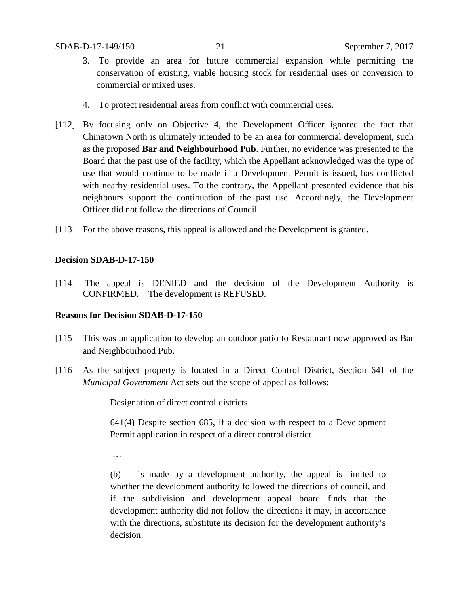- 3. To provide an area for future commercial expansion while permitting the conservation of existing, viable housing stock for residential uses or conversion to commercial or mixed uses.
- 4. To protect residential areas from conflict with commercial uses.
- [112] By focusing only on Objective 4, the Development Officer ignored the fact that Chinatown North is ultimately intended to be an area for commercial development, such as the proposed **Bar and Neighbourhood Pub**. Further, no evidence was presented to the Board that the past use of the facility, which the Appellant acknowledged was the type of use that would continue to be made if a Development Permit is issued, has conflicted with nearby residential uses. To the contrary, the Appellant presented evidence that his neighbours support the continuation of the past use. Accordingly, the Development Officer did not follow the directions of Council.
- [113] For the above reasons, this appeal is allowed and the Development is granted.

# **Decision SDAB-D-17-150**

[114] The appeal is DENIED and the decision of the Development Authority is CONFIRMED. The development is REFUSED.

# **Reasons for Decision SDAB-D-17-150**

- [115] This was an application to develop an outdoor patio to Restaurant now approved as Bar and Neighbourhood Pub.
- [116] As the subject property is located in a Direct Control District, Section 641 of the *Municipal Government* Act sets out the scope of appeal as follows:

Designation of direct control districts

641(4) Despite section 685, if a decision with respect to a Development Permit application in respect of a direct control district

…

(b) is made by a development authority, the appeal is limited to whether the development authority followed the directions of council, and if the subdivision and development appeal board finds that the development authority did not follow the directions it may, in accordance with the directions, substitute its decision for the development authority's decision.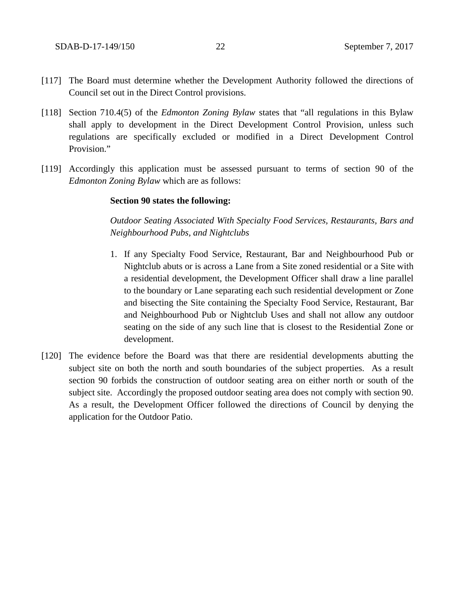- [117] The Board must determine whether the Development Authority followed the directions of Council set out in the Direct Control provisions.
- [118] Section 710.4(5) of the *Edmonton Zoning Bylaw* states that "all regulations in this Bylaw shall apply to development in the Direct Development Control Provision, unless such regulations are specifically excluded or modified in a Direct Development Control Provision."
- [119] Accordingly this application must be assessed pursuant to terms of section 90 of the *Edmonton Zoning Bylaw* which are as follows:

### **Section 90 states the following:**

*Outdoor Seating Associated With Specialty Food Services, Restaurants, Bars and Neighbourhood Pubs, and Nightclubs*

- 1. If any [Specialty Food Service, Restaurant,](javascript:void(0);) [Bar and Neighbourhood Pub](javascript:void(0);) or [Nightclub](javascript:void(0);) abuts or is across a Lane from a Site zoned residential or a Site with a residential development, the Development Officer shall draw a line parallel to the boundary or Lane separating each such residential development or Zone and bisecting the Site containing the Specialty Food Service, Restaurant, Bar and Neighbourhood Pub or Nightclub Uses and shall not allow any outdoor seating on the side of any such line that is closest to the Residential Zone or development.
- [120] The evidence before the Board was that there are residential developments abutting the subject site on both the north and south boundaries of the subject properties. As a result section 90 forbids the construction of outdoor seating area on either north or south of the subject site. Accordingly the proposed outdoor seating area does not comply with section 90. As a result, the Development Officer followed the directions of Council by denying the application for the Outdoor Patio.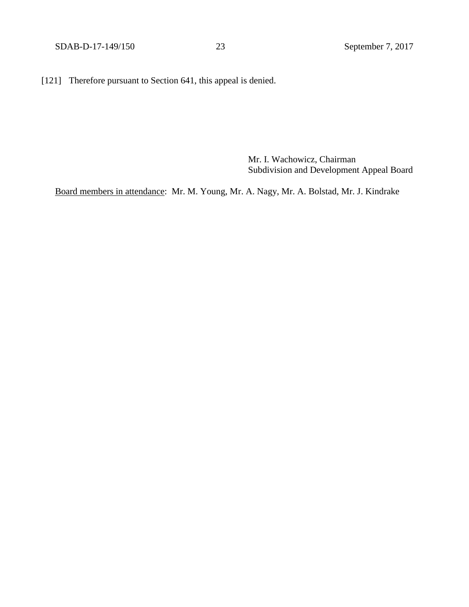[121] Therefore pursuant to Section 641, this appeal is denied.

Mr. I. Wachowicz, Chairman Subdivision and Development Appeal Board

Board members in attendance: Mr. M. Young, Mr. A. Nagy, Mr. A. Bolstad, Mr. J. Kindrake